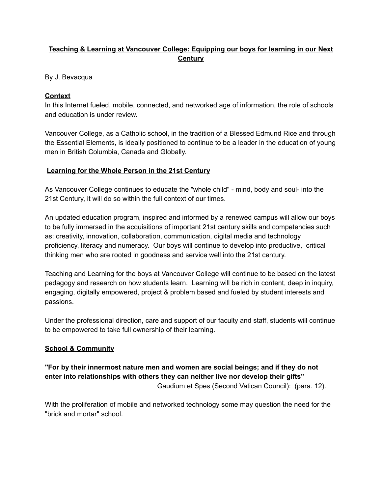# **Teaching & Learning at Vancouver College: Equipping our boys for learning in our Next Century**

By J. Bevacqua

## **Context**

In this Internet fueled, mobile, connected, and networked age of information, the role of schools and education is under review.

Vancouver College, as a Catholic school, in the tradition of a Blessed Edmund Rice and through the Essential Elements, is ideally positioned to continue to be a leader in the education of young men in British Columbia, Canada and Globally.

#### **Learning for the Whole Person in the 21st Century**

As Vancouver College continues to educate the "whole child" - mind, body and soul- into the 21st Century, it will do so within the full context of our times.

An updated education program, inspired and informed by a renewed campus will allow our boys to be fully immersed in the acquisitions of important 21st century skills and competencies such as: creativity, innovation, collaboration, communication, digital media and technology proficiency, literacy and numeracy. Our boys will continue to develop into productive, critical thinking men who are rooted in goodness and service well into the 21st century.

Teaching and Learning for the boys at Vancouver College will continue to be based on the latest pedagogy and research on how students learn. Learning will be rich in content, deep in inquiry, engaging, digitally empowered, project & problem based and fueled by student interests and passions.

Under the professional direction, care and support of our faculty and staff, students will continue to be empowered to take full ownership of their learning.

## **School & Community**

## **"For by their innermost nature men and women are social beings; and if they do not enter into relationships with others they can neither live nor develop their gifts"** Gaudium et Spes (Second Vatican Council): (para. 12).

With the proliferation of mobile and networked technology some may question the need for the "brick and mortar" school.